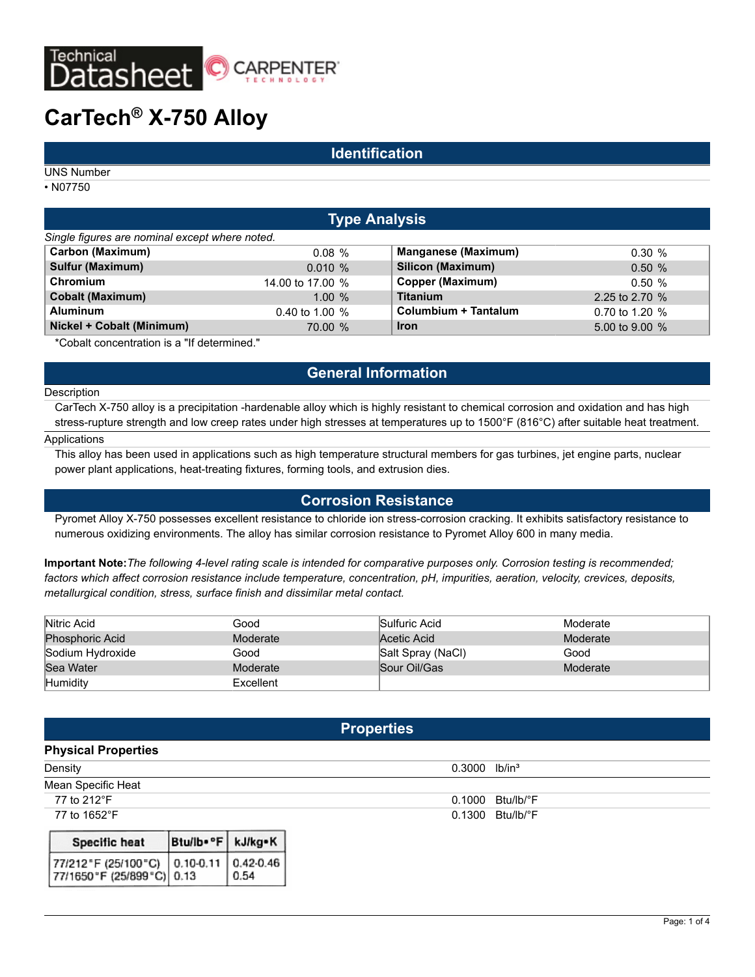

# **CarTech® X-750 Alloy**

### **Identification**

UNS Number

• N07750

| <b>Type Analysis</b>                                                                                                                                                                                                                                                                          |                  |                            |                  |  |
|-----------------------------------------------------------------------------------------------------------------------------------------------------------------------------------------------------------------------------------------------------------------------------------------------|------------------|----------------------------|------------------|--|
| Single figures are nominal except where noted.                                                                                                                                                                                                                                                |                  |                            |                  |  |
| <b>Carbon (Maximum)</b>                                                                                                                                                                                                                                                                       | 0.08%            | <b>Manganese (Maximum)</b> | $0.30 \%$        |  |
| <b>Sulfur (Maximum)</b>                                                                                                                                                                                                                                                                       | $0.010 \%$       | Silicon (Maximum)          | 0.50%            |  |
| Chromium                                                                                                                                                                                                                                                                                      | 14,00 to 17,00 % | Copper (Maximum)           | 0.50%            |  |
| <b>Cobalt (Maximum)</b>                                                                                                                                                                                                                                                                       | $1.00 \%$        | <b>Titanium</b>            | 2.25 to 2.70 $%$ |  |
| <b>Aluminum</b>                                                                                                                                                                                                                                                                               | 0.40 to 1.00 $%$ | Columbium + Tantalum       | 0.70 to 1.20 $%$ |  |
| Nickel + Cobalt (Minimum)                                                                                                                                                                                                                                                                     | 70.00 %          | <b>Iron</b>                | 5.00 to 9.00 $%$ |  |
| $\frac{1}{2}$ and $\frac{1}{2}$ and $\frac{1}{2}$ and $\frac{1}{2}$ and $\frac{1}{2}$ and $\frac{1}{2}$ and $\frac{1}{2}$ and $\frac{1}{2}$ and $\frac{1}{2}$ and $\frac{1}{2}$ and $\frac{1}{2}$ and $\frac{1}{2}$ and $\frac{1}{2}$ and $\frac{1}{2}$ and $\frac{1}{2}$ and $\frac{1}{2}$ a | .                |                            |                  |  |

\*Cobalt concentration is a "If determined."

# **General Information**

#### **Description**

CarTech X-750 alloy is a precipitation -hardenable alloy which is highly resistant to chemical corrosion and oxidation and has high stress-rupture strength and low creep rates under high stresses at temperatures up to 1500°F (816°C) after suitable heat treatment.

#### Applications

This alloy has been used in applications such as high temperature structural members for gas turbines, jet engine parts, nuclear power plant applications, heat-treating fixtures, forming tools, and extrusion dies.

### **Corrosion Resistance**

Pyromet Alloy X-750 possesses excellent resistance to chloride ion stress-corrosion cracking. It exhibits satisfactory resistance to numerous oxidizing environments. The alloy has similar corrosion resistance to Pyromet Alloy 600 in many media.

**Important Note:***The following 4-level rating scale is intended for comparative purposes only. Corrosion testing is recommended; factors which affect corrosion resistance include temperature, concentration, pH, impurities, aeration, velocity, crevices, deposits, metallurgical condition, stress, surface finish and dissimilar metal contact.*

| Nitric Acid            | Good      | Sulfuric Acid     | Moderate |
|------------------------|-----------|-------------------|----------|
| <b>Phosphoric Acid</b> | Moderate  | Acetic Acid       | Moderate |
| Sodium Hydroxide       | Good      | Salt Spray (NaCl) | Good     |
| <b>Sea Water</b>       | Moderate  | Sour Oil/Gas      | Moderate |
| Humidity               | Excellent |                   |          |

| <b>Properties</b>                                  |               |                       |                              |  |  |
|----------------------------------------------------|---------------|-----------------------|------------------------------|--|--|
| <b>Physical Properties</b>                         |               |                       |                              |  |  |
| Density                                            |               |                       | lb/in <sup>3</sup><br>0.3000 |  |  |
| Mean Specific Heat                                 |               |                       |                              |  |  |
| 77 to 212°F                                        |               |                       | 0.1000<br>Btu/lb/°F          |  |  |
| 77 to 1652°F                                       |               |                       | 0.1300<br>Btu/lb/°F          |  |  |
| Specific heat                                      | Btullb. "F    | kJ/kg*K               |                              |  |  |
| 77/212"F (25/100"C)<br>77/1650 °F (25/899 °C) 0.13 | $0.10 - 0.11$ | $0.42 - 0.46$<br>0.54 |                              |  |  |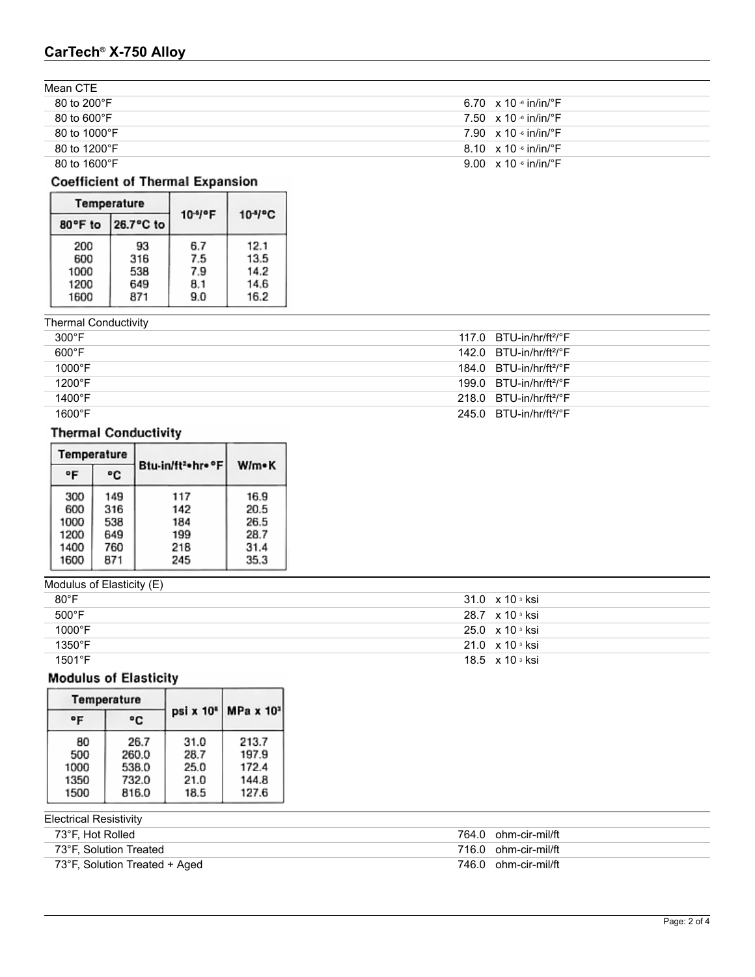# **CarTech® X-750 Alloy**

| Mean CTE                |                                           |
|-------------------------|-------------------------------------------|
| 80 to 200 $\degree$ F   | 6.70 $\times$ 10 $\cdot$ in/in/ $\cdot$ F |
| $80$ to $600^{\circ}$ F | 7.50 $\times$ 10 $\cdot$ in/in/ $\cdot$ F |
| 80 to 1000 $\degree$ F  | 7.90 $\times$ 10 $\cdot$ in/in/ $\cdot$ F |
| 80 to 1200°F            | 8.10 $\times$ 10 $\cdot$ in/in/ $\cdot$ F |
| 80 to 1600°F            | 9.00 $\times$ 10 $\cdot$ in/in/ $\cdot$ F |

# **Coefficient of Thermal Expansion**

|                                    | Temperature                    |                                 |                                      |  |
|------------------------------------|--------------------------------|---------------------------------|--------------------------------------|--|
| 80°F to                            | 26.7°C to                      | $10-4$ <sup>o</sup> F           | $10-4$ <sup>o</sup> C                |  |
| 200<br>600<br>1000<br>1200<br>1600 | 93<br>316<br>538<br>649<br>871 | 6.7<br>7.5<br>7.9<br>8.1<br>9.0 | 12.1<br>13.5<br>14.2<br>14.6<br>16.2 |  |

| <b>Thermal Conductivity</b> |  |
|-----------------------------|--|
|                             |  |

| $300^{\circ}$ F  | 117.0 $BTU-in/hr/ft^2/°F$             |
|------------------|---------------------------------------|
| $600^{\circ}$ F  | $142.0$ BTU-in/hr/ft <sup>2</sup> /°F |
| $1000^{\circ}$ F | $184.0$ BTU-in/hr/ft <sup>2</sup> /°F |
| $1200^{\circ}$ F | $199.0$ BTU-in/hr/ft <sup>2</sup> /°F |
| $1400^{\circ}$ F | $218.0$ BTU-in/hr/ft <sup>2</sup> /°F |
| $1600^{\circ}$ F | 245.0 $BTU-in/hr/ft2/°F$              |

# **Thermal Conductivity**

| Temperature |     |                                |       |  |
|-------------|-----|--------------------------------|-------|--|
| °F          | ۰c  | Btu-in/ft <sup>2</sup> hr = °F | W/m•K |  |
| 300         | 149 | 117                            | 16.9  |  |
| 600         | 316 | 142                            | 20.5  |  |
| 1000        | 538 | 184                            | 26.5  |  |
| 1200        | 649 | 199                            | 28.7  |  |
| 1400        | 760 | 218                            | 31.4  |  |
| 1600        | 871 | 245                            | 35.3  |  |

| Modulus of Elasticity (E) |                                     |
|---------------------------|-------------------------------------|
| $80^{\circ}$ F            | 31.0 $\times$ 10 $\frac{3}{10}$     |
| 500°F                     | 28.7 $\times$ 10 $\frac{3}{10}$ ksi |
| 1000°F                    | $25.0 \times 10$ s ksi              |
| 1350°F                    | $21.0 \times 10$ s ksi              |
| 1501°F                    | 18.5 x 10 s ksi                     |

# **Modulus of Elasticity**

|              | Temperature |      |                     |  |
|--------------|-------------|------|---------------------|--|
| $^{\circ}$ F | ۰c          |      | psi x 10* MPa x 10* |  |
| 80           | 26.7        | 31.0 | 213.7               |  |
| 500          | 260.0       | 28.7 | 197.9               |  |
| 1000         | 538.0       | 25.0 | 172.4               |  |
| 1350         | 732.0       | 21.0 | 144.8               |  |
| 1500         | 816.0       | 18.5 | 127.6               |  |

Electrical Resistivity

| 73°F, Hot Rolled              | 764.0 ohm-cir-mil/ft |
|-------------------------------|----------------------|
| 73°F. Solution Treated        | 716.0 ohm-cir-mil/ft |
| 73°F, Solution Treated + Aged | 746.0 ohm-cir-mil/ft |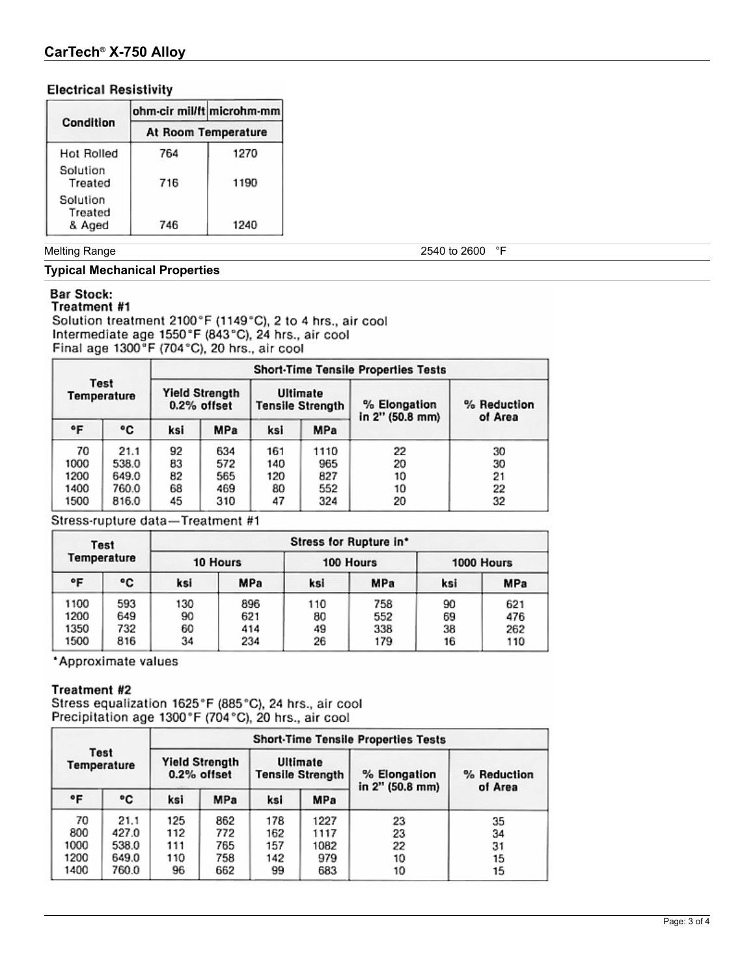# **CarTech® X-750 Alloy**

### **Electrical Resistivity**

|                     | ohm-cir mil/ft microhm-mm |      |  |  |
|---------------------|---------------------------|------|--|--|
| Condition           | At Room Temperature       |      |  |  |
| Hot Rolled          | 764                       | 1270 |  |  |
| Solution<br>Treated | 716                       | 1190 |  |  |
| Solution<br>Treated |                           |      |  |  |
| & Aged              | 746                       | 1240 |  |  |

#### Melting Range 2540 to 2600 °F

#### **Typical Mechanical Properties**

#### **Bar Stock:** Treatment #1

Solution treatment 2100°F (1149°C), 2 to 4 hrs., air cool Intermediate age 1550°F (843°C), 24 hrs., air cool Final age  $1300^\circ$ F (704 $^\circ$ C), 20 hrs., air cool

| Test<br>Temperature |       | <b>Short-Time Tensile Properties Tests</b> |            |                                     |            |                                 |                        |  |  |
|---------------------|-------|--------------------------------------------|------------|-------------------------------------|------------|---------------------------------|------------------------|--|--|
|                     |       | <b>Yield Strength</b><br>0.2% offset       |            | Ultimate<br><b>Tensile Strength</b> |            | % Elongation<br>in 2" (50.8 mm) | % Reduction<br>of Area |  |  |
| ۰F                  | ۰c    | ksi                                        | <b>MPa</b> | ksi                                 | <b>MPa</b> |                                 |                        |  |  |
| 70                  | 21.1  | 92                                         | 634        | 161                                 | 1110       | 22                              | 30                     |  |  |
| 1000                | 538.0 | 83                                         | 572        | 140                                 | 965        | 20                              | 30                     |  |  |
| 1200                | 649.0 | 82                                         | 565        | 120                                 | 827        | 10                              | 21                     |  |  |
| 1400                | 760.0 | 68                                         | 469        | 80                                  | 552        | 10                              | 22                     |  |  |
| 1500                | 816.0 | 45                                         | 310        | 47                                  | 324        | 20                              | 32                     |  |  |

Stress-rupture data-Treatment #1

| Test<br>Temperature          |                          | Stress for Rupture in* |                          |                       |                          |                      |                          |  |  |
|------------------------------|--------------------------|------------------------|--------------------------|-----------------------|--------------------------|----------------------|--------------------------|--|--|
|                              |                          | 10 Hours               |                          | 100 Hours             |                          | 1000 Hours           |                          |  |  |
| ۰F                           | ۰c                       | ksi                    | MPa                      | ksi                   | MPa                      | ksi                  | MPa                      |  |  |
| 1100<br>1200<br>1350<br>1500 | 593<br>649<br>732<br>816 | 130<br>90<br>60<br>34  | 896<br>621<br>414<br>234 | 110<br>80<br>49<br>26 | 758<br>552<br>338<br>179 | 90<br>69<br>38<br>16 | 621<br>476<br>262<br>110 |  |  |

\*Approximate values

### Treatment #2

Stress equalization 1625°F (885°C), 24 hrs., air cool<br>Precipitation age 1300°F (704°C), 20 hrs., air cool

| <b>Test</b><br>Temperature        |                                          | <b>Short-Time Tensile Properties Tests</b> |                                 |                                     |                                    |                                 |                            |  |  |
|-----------------------------------|------------------------------------------|--------------------------------------------|---------------------------------|-------------------------------------|------------------------------------|---------------------------------|----------------------------|--|--|
|                                   |                                          | <b>Yield Strength</b><br>0.2% offset       |                                 | Ultimate<br><b>Tensile Strength</b> |                                    | % Elongation<br>in 2" (50.8 mm) | % Reduction<br>of Area     |  |  |
| ۰F                                | ۰c                                       | ksi                                        | MPa                             | ksi                                 | MPa                                |                                 |                            |  |  |
| 70<br>800<br>1000<br>1200<br>1400 | 21.1<br>427.0<br>538.0<br>649.0<br>760.0 | 125<br>112<br>111<br>110<br>96             | 862<br>772<br>765<br>758<br>662 | 178<br>162<br>157<br>142<br>99      | 1227<br>1117<br>1082<br>979<br>683 | 23<br>23<br>22<br>10<br>10      | 35<br>34<br>31<br>15<br>15 |  |  |